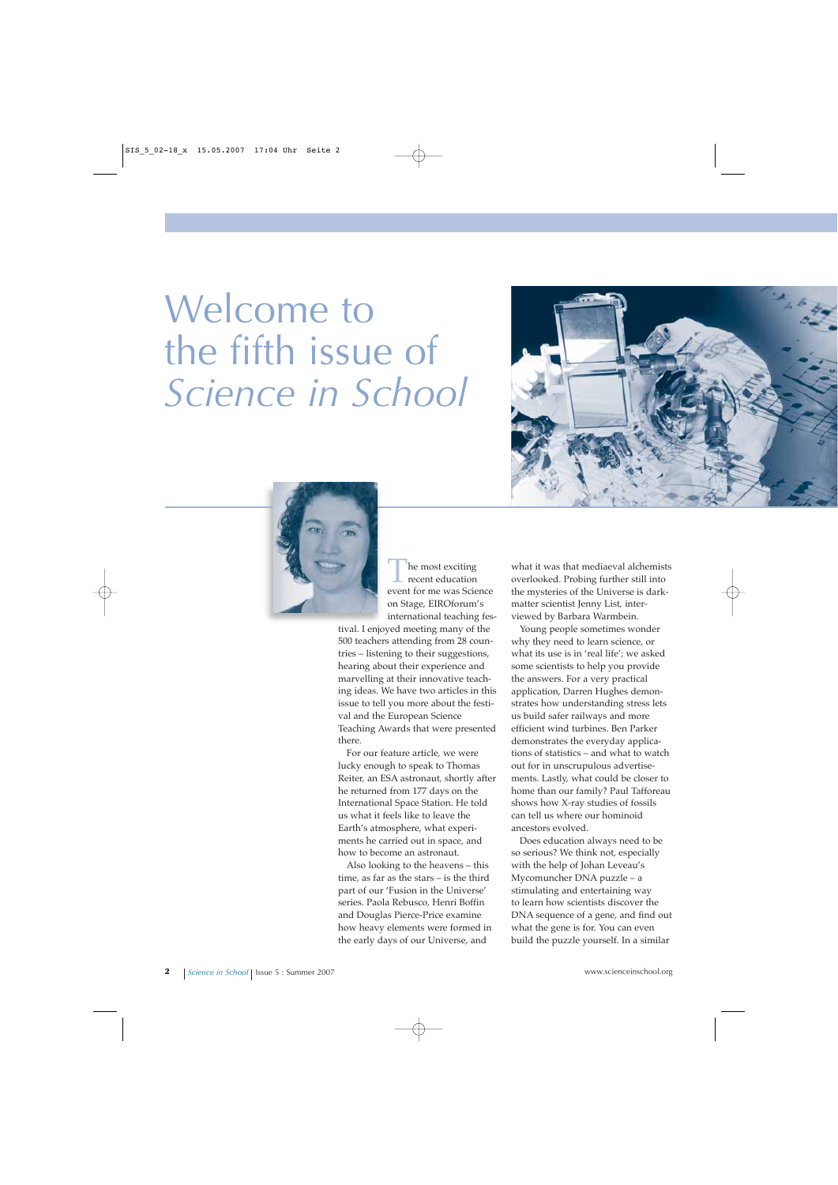## Welcome to the fifth issue of *Science in School*





he most exciting recent education event for me was Science on Stage, EIROforum's international teaching fes-

tival. I enjoyed meeting many of the 500 teachers attending from 28 countries – listening to their suggestions, hearing about their experience and marvelling at their innovative teaching ideas. We have two articles in this issue to tell you more about the festival and the European Science Teaching Awards that were presented there.

For our feature article, we were lucky enough to speak to Thomas Reiter, an ESA astronaut, shortly after he returned from 177 days on the International Space Station. He told us what it feels like to leave the Earth's atmosphere, what experiments he carried out in space, and how to become an astronaut.

Also looking to the heavens – this time, as far as the stars – is the third part of our 'Fusion in the Universe' series. Paola Rebusco, Henri Boffin and Douglas Pierce-Price examine how heavy elements were formed in the early days of our Universe, and

what it was that mediaeval alchemists overlooked. Probing further still into the mysteries of the Universe is darkmatter scientist Jenny List, interviewed by Barbara Warmbein.

Young people sometimes wonder why they need to learn science, or what its use is in 'real life'; we asked some scientists to help you provide the answers. For a very practical application, Darren Hughes demonstrates how understanding stress lets us build safer railways and more efficient wind turbines. Ben Parker demonstrates the everyday applications of statistics – and what to watch out for in unscrupulous advertisements. Lastly, what could be closer to home than our family? Paul Tafforeau shows how X-ray studies of fossils can tell us where our hominoid ancestors evolved.

Does education always need to be so serious? We think not, especially with the help of Johan Leveau's Mycomuncher DNA puzzle – a stimulating and entertaining way to learn how scientists discover the DNA sequence of a gene, and find out what the gene is for. You can even build the puzzle yourself. In a similar